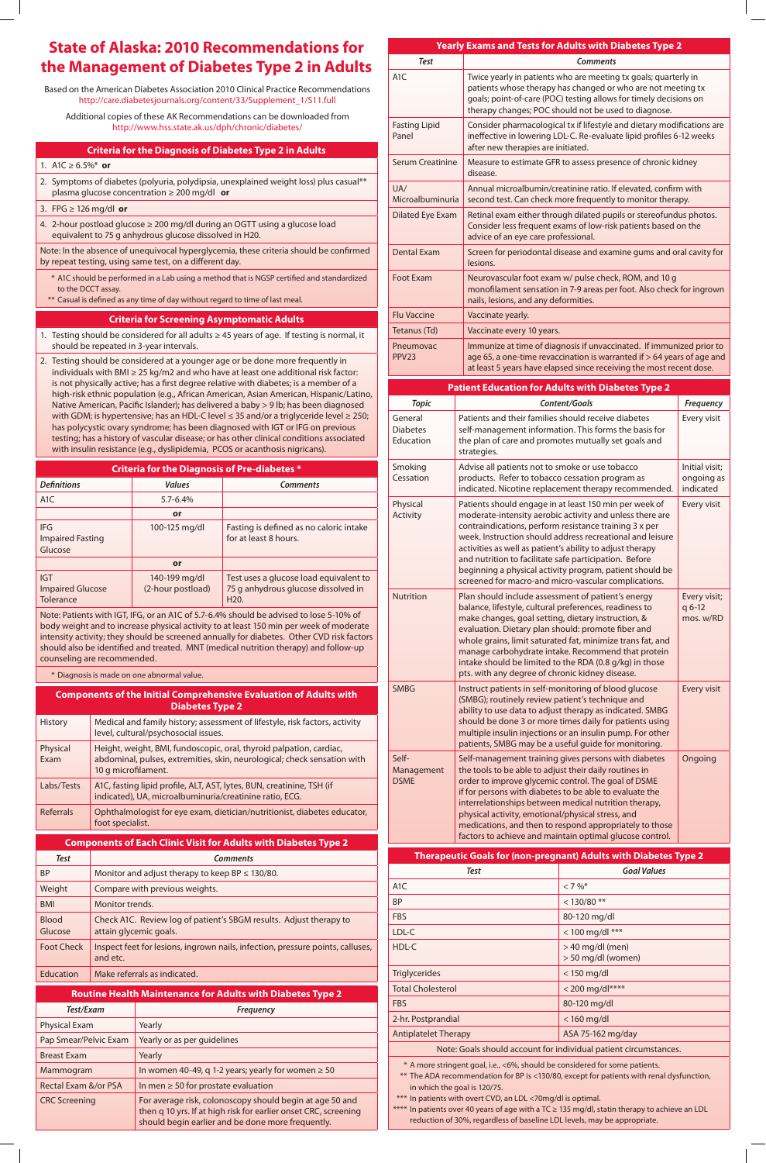## **Criteria for the Diagnosis of Diabetes Type 2 in Adults**

# 1. A1C  $\geq 6.5\%$ <sup>\*</sup> or

- 2. Symptoms of diabetes (polyuria, polydipsia, unexplained weight loss) plus casual\*\* plasma glucose concentration ≥ 200 mg/dl **or**
- 3. FPG ≥ 126 mg/dl **or**
- 4. 2-hour postload glucose ≥ 200 mg/dl during an OGTT using a glucose load equivalent to 75 g anhydrous glucose dissolved in H20.

Note: In the absence of unequivocal hyperglycemia, these criteria should be confirmed by repeat testing, using same test, on a different day.

- \* A1C should be performed in a Lab using a method that is NGSP certified and standardized to the DCCT assay.
- \*\* Casual is defined as any time of day without regard to time of last meal.

#### **Criteria for Screening Asymptomatic Adults**

- 1. Testing should be considered for all adults  $\geq$  45 years of age. If testing is normal, it should be repeated in 3-year intervals.
- 2. Testing should be considered at a younger age or be done more frequently in individuals with BMI  $\geq$  25 kg/m2 and who have at least one additional risk factor: is not physically active; has a first degree relative with diabetes; is a member of a high-risk ethnic population (e.g., African American, Asian American, Hispanic/Latino, Native American, Pacific Islander); has delivered a baby > 9 lb; has been diagnosed with GDM; is hypertensive; has an HDL-C level ≤ 35 and/or a triglyceride level ≥ 250; has polycystic ovary syndrome; has been diagnosed with IGT or IFG on previous testing; has a history of vascular disease; or has other clinical conditions associated with insulin resistance (e.g., dyslipidemia, PCOS or acanthosis nigricans).

## **Criteria for the Diagnosis of Pre-diabetes \***

| <b>Definitions</b>                                 | <b>Values</b>                      | <b>Comments</b>                                                                                    |
|----------------------------------------------------|------------------------------------|----------------------------------------------------------------------------------------------------|
| A <sub>1</sub> C                                   | $5.7 - 6.4\%$                      |                                                                                                    |
|                                                    | or                                 |                                                                                                    |
| <b>IFG</b><br><b>Impaired Fasting</b><br>Glucose   | 100-125 mg/dl                      | Fasting is defined as no caloric intake<br>for at least 8 hours.                                   |
|                                                    | or                                 |                                                                                                    |
| IGT<br><b>Impaired Glucose</b><br><b>Tolerance</b> | 140-199 mg/dl<br>(2-hour postload) | Test uses a glucose load equivalent to<br>75 g anhydrous glucose dissolved in<br>H <sub>20</sub> . |

Note: Patients with IGT, IFG, or an A1C of 5.7-6.4% should be advised to lose 5-10% of body weight and to increase physical activity to at least 150 min per week of moderate intensity activity; they should be screened annually for diabetes. Other CVD risk factors should also be identified and treated. MNT (medical nutrition therapy) and follow-up counseling are recommended.

\* Diagnosis is made on one abnormal value.

| <b>Components of the Initial Comprehensive Evaluation of Adults with</b><br><b>Diabetes Type 2</b> |                                                                                                                                                                        |  |  |  |
|----------------------------------------------------------------------------------------------------|------------------------------------------------------------------------------------------------------------------------------------------------------------------------|--|--|--|
| <b>History</b>                                                                                     | Medical and family history; assessment of lifestyle, risk factors, activity<br>level, cultural/psychosocial issues.                                                    |  |  |  |
| Physical<br>Exam                                                                                   | Height, weight, BMI, fundoscopic, oral, thyroid palpation, cardiac,<br>abdominal, pulses, extremities, skin, neurological; check sensation with<br>10 g microfilament. |  |  |  |
| Labs/Tests                                                                                         | A1C, fasting lipid profile, ALT, AST, lytes, BUN, creatinine, TSH (if<br>indicated), UA, microalbuminuria/creatinine ratio, ECG.                                       |  |  |  |
| <b>Referrals</b>                                                                                   | Ophthalmologist for eye exam, dietician/nutritionist, diabetes educator,<br>foot specialist.                                                                           |  |  |  |

| <b>Components of Each Clinic Visit for Adults with Diabetes Type 2</b> |                                                                                              |  |
|------------------------------------------------------------------------|----------------------------------------------------------------------------------------------|--|
| <b>Test</b>                                                            | <b>Comments</b>                                                                              |  |
| <b>BP</b>                                                              | Monitor and adjust therapy to keep BP $\leq$ 130/80.                                         |  |
| Weight                                                                 | Compare with previous weights.                                                               |  |
| <b>BMI</b>                                                             | Monitor trends.                                                                              |  |
| <b>Blood</b><br>Glucose                                                | Check A1C. Review log of patient's SBGM results. Adjust therapy to<br>attain glycemic goals. |  |
| <b>Foot Check</b>                                                      | Inspect feet for lesions, ingrown nails, infection, pressure points, calluses,<br>and etc.   |  |
| Education                                                              | Make referrals as indicated.                                                                 |  |

| <b>Routine Health Maintenance for Adults with Diabetes Type 2</b> |                                                                                                                                                                                  |  |
|-------------------------------------------------------------------|----------------------------------------------------------------------------------------------------------------------------------------------------------------------------------|--|
| Test/Exam                                                         | <b>Frequency</b>                                                                                                                                                                 |  |
| <b>Physical Exam</b>                                              | Yearly                                                                                                                                                                           |  |
| Pap Smear/Pelvic Exam                                             | Yearly or as per guidelines                                                                                                                                                      |  |
| <b>Breast Exam</b>                                                | Yearly                                                                                                                                                                           |  |
| Mammogram                                                         | In women 40-49, q 1-2 years; yearly for women $\geq 50$                                                                                                                          |  |
| Rectal Exam &/or PSA                                              | In men $\geq$ 50 for prostate evaluation                                                                                                                                         |  |
| <b>CRC Screening</b>                                              | For average risk, colonoscopy should begin at age 50 and<br>then q 10 yrs. If at high risk for earlier onset CRC, screening<br>should begin earlier and be done more frequently. |  |

| Yearly Exams and Tests for Adults with Diabetes Type 2 |                                                                                                                                                                                                                                                              |  |
|--------------------------------------------------------|--------------------------------------------------------------------------------------------------------------------------------------------------------------------------------------------------------------------------------------------------------------|--|
| <b>Test</b>                                            | <b>Comments</b>                                                                                                                                                                                                                                              |  |
| A <sub>1</sub> C                                       | Twice yearly in patients who are meeting tx goals; quarterly in<br>patients whose therapy has changed or who are not meeting tx<br>goals; point-of-care (POC) testing allows for timely decisions on<br>therapy changes; POC should not be used to diagnose. |  |
| <b>Fasting Lipid</b><br>Panel                          | Consider pharmacological tx if lifestyle and dietary modifications are<br>ineffective in lowering LDL-C. Re-evaluate lipid profiles 6-12 weeks<br>after new therapies are initiated.                                                                         |  |
| Serum Creatinine                                       | Measure to estimate GFR to assess presence of chronic kidney<br>disease.                                                                                                                                                                                     |  |
| UA/<br>Microalbuminuria                                | Annual microalbumin/creatinine ratio. If elevated, confirm with<br>second test. Can check more frequently to monitor therapy.                                                                                                                                |  |
| <b>Dilated Eye Exam</b>                                | Retinal exam either through dilated pupils or stereofundus photos.<br>Consider less frequent exams of low-risk patients based on the<br>advice of an eye care professional.                                                                                  |  |
| <b>Dental Exam</b>                                     | Screen for periodontal disease and examine gums and oral cavity for<br>lesions.                                                                                                                                                                              |  |
| <b>Foot Exam</b>                                       | Neurovascular foot exam w/ pulse check, ROM, and 10 g<br>monofilament sensation in 7-9 areas per foot. Also check for ingrown<br>nails, lesions, and any deformities.                                                                                        |  |
| <b>Flu Vaccine</b>                                     | Vaccinate yearly.                                                                                                                                                                                                                                            |  |
| Tetanus (Td)                                           | Vaccinate every 10 years.                                                                                                                                                                                                                                    |  |
| Pneumovac<br>PPV <sub>23</sub>                         | Immunize at time of diagnosis if unvaccinated. If immunized prior to<br>age 65, a one-time revaccination is warranted if $> 64$ years of age and<br>at least 5 years have elapsed since receiving the most recent dose.                                      |  |

| <b>Patient Education for Adults with Diabetes Type 2</b> |                                         |                                                                                                                                                                                                                                                                                                                                                                                                                                                                                      |                                           |
|----------------------------------------------------------|-----------------------------------------|--------------------------------------------------------------------------------------------------------------------------------------------------------------------------------------------------------------------------------------------------------------------------------------------------------------------------------------------------------------------------------------------------------------------------------------------------------------------------------------|-------------------------------------------|
|                                                          | <b>Topic</b>                            | <b>Content/Goals</b>                                                                                                                                                                                                                                                                                                                                                                                                                                                                 | <b>Frequency</b>                          |
|                                                          | General<br><b>Diabetes</b><br>Education | Patients and their families should receive diabetes<br>self-management information. This forms the basis for<br>the plan of care and promotes mutually set goals and<br>strategies.                                                                                                                                                                                                                                                                                                  | Every visit                               |
|                                                          | Smoking<br>Cessation                    | Advise all patients not to smoke or use tobacco<br>products. Refer to tobacco cessation program as<br>indicated. Nicotine replacement therapy recommended.                                                                                                                                                                                                                                                                                                                           | Initial visit;<br>ongoing as<br>indicated |
|                                                          | Physical<br>Activity                    | Patients should engage in at least 150 min per week of<br>moderate-intensity aerobic activity and unless there are<br>contraindications, perform resistance training 3 x per<br>week. Instruction should address recreational and leisure<br>activities as well as patient's ability to adjust therapy<br>and nutrition to facilitate safe participation. Before<br>beginning a physical activity program, patient should be<br>screened for macro-and micro-vascular complications. | Every visit                               |
|                                                          | Nutrition                               | Plan should include assessment of patient's energy<br>balance, lifestyle, cultural preferences, readiness to<br>make changes, goal setting, dietary instruction, &<br>evaluation. Dietary plan should: promote fiber and<br>whole grains, limit saturated fat, minimize trans fat, and<br>manage carbohydrate intake. Recommend that protein<br>intake should be limited to the RDA (0.8 g/kg) in those<br>pts. with any degree of chronic kidney disease.                           | Every visit;<br>q 6-12<br>mos. w/RD       |
|                                                          | <b>SMBG</b>                             | Instruct patients in self-monitoring of blood glucose<br>(SMBG); routinely review patient's technique and<br>ability to use data to adjust therapy as indicated. SMBG<br>should be done 3 or more times daily for patients using<br>multiple insulin injections or an insulin pump. For other<br>patients, SMBG may be a useful quide for monitoring.                                                                                                                                | Every visit                               |
|                                                          | Self-<br>Management<br><b>DSME</b>      | Self-management training gives persons with diabetes<br>the tools to be able to adjust their daily routines in<br>order to improve glycemic control. The goal of DSME<br>if for persons with diabetes to be able to evaluate the<br>interrelationships between medical nutrition therapy,<br>physical activity, emotional/physical stress, and<br>medications, and then to respond appropriately to those                                                                            | Ongoing                                   |

factors to achieve and maintain optimal glucose control.

| <b>Therapeutic Goals for (non-pregnant) Adults with Diabetes Type 2</b>                                                                                                                                                                                                     |                                        |  |
|-----------------------------------------------------------------------------------------------------------------------------------------------------------------------------------------------------------------------------------------------------------------------------|----------------------------------------|--|
| Test                                                                                                                                                                                                                                                                        | <b>Goal Values</b>                     |  |
| A <sub>1</sub> C                                                                                                                                                                                                                                                            | $< 7 \%$                               |  |
| BP                                                                                                                                                                                                                                                                          | $<$ 130/80 **                          |  |
| <b>FBS</b>                                                                                                                                                                                                                                                                  | 80-120 mg/dl                           |  |
| LDL-C                                                                                                                                                                                                                                                                       | $< 100$ mg/dl ***                      |  |
| HDL-C                                                                                                                                                                                                                                                                       | > 40 mg/dl (men)<br>> 50 mg/dl (women) |  |
| <b>Triglycerides</b>                                                                                                                                                                                                                                                        | $<$ 150 mg/dl                          |  |
| <b>Total Cholesterol</b>                                                                                                                                                                                                                                                    | $< 200$ mg/dl****                      |  |
| <b>FBS</b>                                                                                                                                                                                                                                                                  | 80-120 mg/dl                           |  |
| 2-hr. Postprandial                                                                                                                                                                                                                                                          | $<$ 160 mg/dl                          |  |
| <b>Antiplatelet Therapy</b>                                                                                                                                                                                                                                                 | ASA 75-162 mg/day                      |  |
| Note: Goals should account for individual patient circumstances.<br>* A more stringent goal, i.e., <6%, should be considered for some patients.<br>** The ADA recommendation for BP is <130/80, except for patients with renal dysfunction,<br>in which the goal is 120/75. |                                        |  |

- \*\*\* In patients with overt CVD, an LDL <70mg/dl is optimal.
- \*\*\*\* In patients over 40 years of age with a TC ≥ 135 mg/dl, statin therapy to achieve an LDL reduction of 30%, regardless of baseline LDL levels, may be appropriate.

# **State of Alaska: 2010 Recommendations for the Management of Diabetes Type 2 in Adults**

Based on the American Diabetes Association 2010 Clinical Practice Recommendations http://care.diabetesjournals.org/content/33/Supplement\_1/S11.full

Additional copies of these AK Recommendations can be downloaded from http://www.hss.state.ak.us/dph/chronic/diabetes/